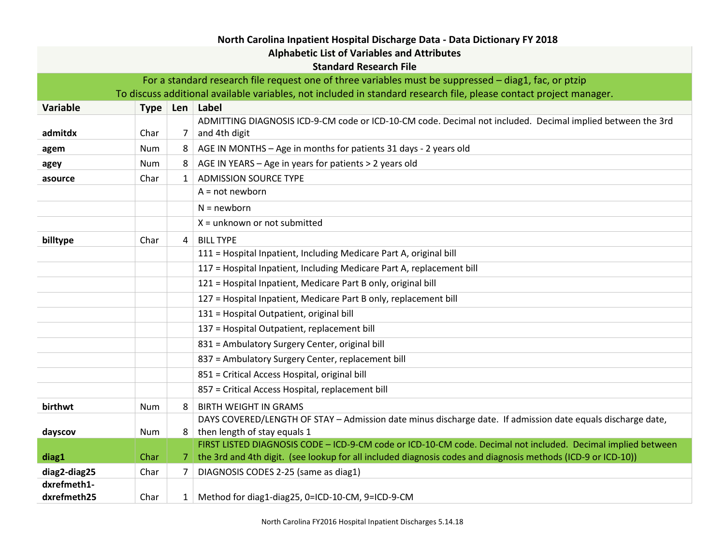| North Carolina Inpatient Hospital Discharge Data - Data Dictionary FY 2018                            |                                                                                                                    |              |                                                                                                                             |  |
|-------------------------------------------------------------------------------------------------------|--------------------------------------------------------------------------------------------------------------------|--------------|-----------------------------------------------------------------------------------------------------------------------------|--|
| <b>Alphabetic List of Variables and Attributes</b>                                                    |                                                                                                                    |              |                                                                                                                             |  |
| <b>Standard Research File</b>                                                                         |                                                                                                                    |              |                                                                                                                             |  |
| For a standard research file request one of three variables must be suppressed - diag1, fac, or ptzip |                                                                                                                    |              |                                                                                                                             |  |
|                                                                                                       | To discuss additional available variables, not included in standard research file, please contact project manager. |              |                                                                                                                             |  |
| <b>Variable</b>                                                                                       |                                                                                                                    |              | Type   Len   Label                                                                                                          |  |
| admitdx                                                                                               | Char                                                                                                               | 7            | ADMITTING DIAGNOSIS ICD-9-CM code or ICD-10-CM code. Decimal not included. Decimal implied between the 3rd<br>and 4th digit |  |
| agem                                                                                                  | Num                                                                                                                | 8            | AGE IN MONTHS - Age in months for patients 31 days - 2 years old                                                            |  |
| agey                                                                                                  | Num                                                                                                                | 8            | AGE IN YEARS - Age in years for patients > 2 years old                                                                      |  |
| asource                                                                                               | Char                                                                                                               | $\mathbf{1}$ | <b>ADMISSION SOURCE TYPE</b>                                                                                                |  |
|                                                                                                       |                                                                                                                    |              | $A = not newborn$                                                                                                           |  |
|                                                                                                       |                                                                                                                    |              | $N = newborn$                                                                                                               |  |
|                                                                                                       |                                                                                                                    |              | $X =$ unknown or not submitted                                                                                              |  |
| billtype                                                                                              | Char                                                                                                               | 4            | <b>BILL TYPE</b>                                                                                                            |  |
|                                                                                                       |                                                                                                                    |              | 111 = Hospital Inpatient, Including Medicare Part A, original bill                                                          |  |
|                                                                                                       |                                                                                                                    |              | 117 = Hospital Inpatient, Including Medicare Part A, replacement bill                                                       |  |
|                                                                                                       |                                                                                                                    |              | 121 = Hospital Inpatient, Medicare Part B only, original bill                                                               |  |
|                                                                                                       |                                                                                                                    |              | 127 = Hospital Inpatient, Medicare Part B only, replacement bill                                                            |  |
|                                                                                                       |                                                                                                                    |              | 131 = Hospital Outpatient, original bill                                                                                    |  |
|                                                                                                       |                                                                                                                    |              | 137 = Hospital Outpatient, replacement bill                                                                                 |  |
|                                                                                                       |                                                                                                                    |              | 831 = Ambulatory Surgery Center, original bill                                                                              |  |
|                                                                                                       |                                                                                                                    |              | 837 = Ambulatory Surgery Center, replacement bill                                                                           |  |
|                                                                                                       |                                                                                                                    |              | 851 = Critical Access Hospital, original bill                                                                               |  |
|                                                                                                       |                                                                                                                    |              | 857 = Critical Access Hospital, replacement bill                                                                            |  |
| birthwt                                                                                               | Num                                                                                                                | 8            | <b>BIRTH WEIGHT IN GRAMS</b>                                                                                                |  |
|                                                                                                       |                                                                                                                    |              | DAYS COVERED/LENGTH OF STAY - Admission date minus discharge date. If admission date equals discharge date,                 |  |
| dayscov                                                                                               | Num                                                                                                                | 8            | then length of stay equals 1                                                                                                |  |
| diag1                                                                                                 | Char                                                                                                               |              | FIRST LISTED DIAGNOSIS CODE - ICD-9-CM code or ICD-10-CM code. Decimal not included. Decimal implied between                |  |
|                                                                                                       |                                                                                                                    |              | 7   the 3rd and 4th digit. (see lookup for all included diagnosis codes and diagnosis methods (ICD-9 or ICD-10))            |  |
| diag2-diag25<br>dxrefmeth1-                                                                           | Char                                                                                                               | 7            | DIAGNOSIS CODES 2-25 (same as diag1)                                                                                        |  |
| dxrefmeth25                                                                                           | Char                                                                                                               |              | 1 Method for diag1-diag25, 0=ICD-10-CM, 9=ICD-9-CM                                                                          |  |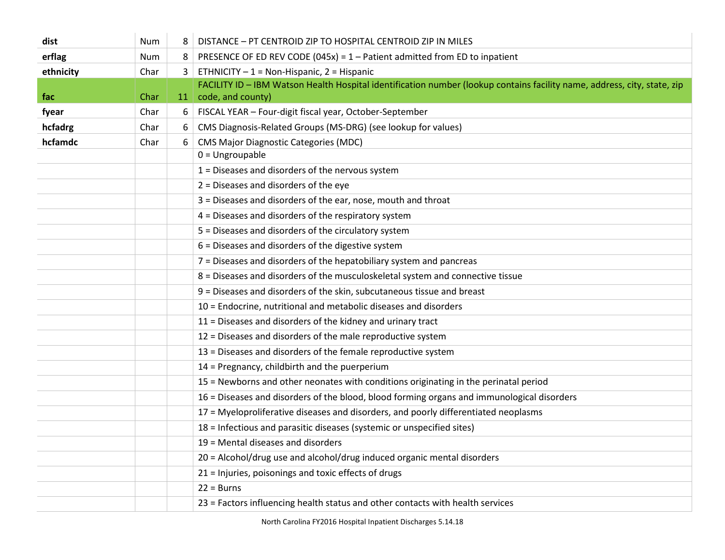| dist      | Num  | 8         | DISTANCE - PT CENTROID ZIP TO HOSPITAL CENTROID ZIP IN MILES                                                             |
|-----------|------|-----------|--------------------------------------------------------------------------------------------------------------------------|
| erflag    | Num  | 8         | PRESENCE OF ED REV CODE (045x) = $1 -$ Patient admitted from ED to inpatient                                             |
| ethnicity | Char | 3         | ETHNICITY $-1$ = Non-Hispanic, 2 = Hispanic                                                                              |
|           |      |           | FACILITY ID - IBM Watson Health Hospital identification number (lookup contains facility name, address, city, state, zip |
| fac       | Char | <b>11</b> | code, and county)                                                                                                        |
| fyear     | Char | 6         | FISCAL YEAR - Four-digit fiscal year, October-September                                                                  |
| hcfadrg   | Char | 6         | CMS Diagnosis-Related Groups (MS-DRG) (see lookup for values)                                                            |
| hcfamdc   | Char | 6         | <b>CMS Major Diagnostic Categories (MDC)</b>                                                                             |
|           |      |           | $0 =$ Ungroupable                                                                                                        |
|           |      |           | $1 =$ Diseases and disorders of the nervous system                                                                       |
|           |      |           | $2$ = Diseases and disorders of the eye                                                                                  |
|           |      |           | 3 = Diseases and disorders of the ear, nose, mouth and throat                                                            |
|           |      |           | 4 = Diseases and disorders of the respiratory system                                                                     |
|           |      |           | 5 = Diseases and disorders of the circulatory system                                                                     |
|           |      |           | 6 = Diseases and disorders of the digestive system                                                                       |
|           |      |           | 7 = Diseases and disorders of the hepatobiliary system and pancreas                                                      |
|           |      |           | 8 = Diseases and disorders of the musculoskeletal system and connective tissue                                           |
|           |      |           | 9 = Diseases and disorders of the skin, subcutaneous tissue and breast                                                   |
|           |      |           | 10 = Endocrine, nutritional and metabolic diseases and disorders                                                         |
|           |      |           | 11 = Diseases and disorders of the kidney and urinary tract                                                              |
|           |      |           | 12 = Diseases and disorders of the male reproductive system                                                              |
|           |      |           | 13 = Diseases and disorders of the female reproductive system                                                            |
|           |      |           | 14 = Pregnancy, childbirth and the puerperium                                                                            |
|           |      |           | 15 = Newborns and other neonates with conditions originating in the perinatal period                                     |
|           |      |           | 16 = Diseases and disorders of the blood, blood forming organs and immunological disorders                               |
|           |      |           | 17 = Myeloproliferative diseases and disorders, and poorly differentiated neoplasms                                      |
|           |      |           | 18 = Infectious and parasitic diseases (systemic or unspecified sites)                                                   |
|           |      |           | 19 = Mental diseases and disorders                                                                                       |
|           |      |           | 20 = Alcohol/drug use and alcohol/drug induced organic mental disorders                                                  |
|           |      |           | 21 = Injuries, poisonings and toxic effects of drugs                                                                     |
|           |      |           | $22 = Burns$                                                                                                             |
|           |      |           | 23 = Factors influencing health status and other contacts with health services                                           |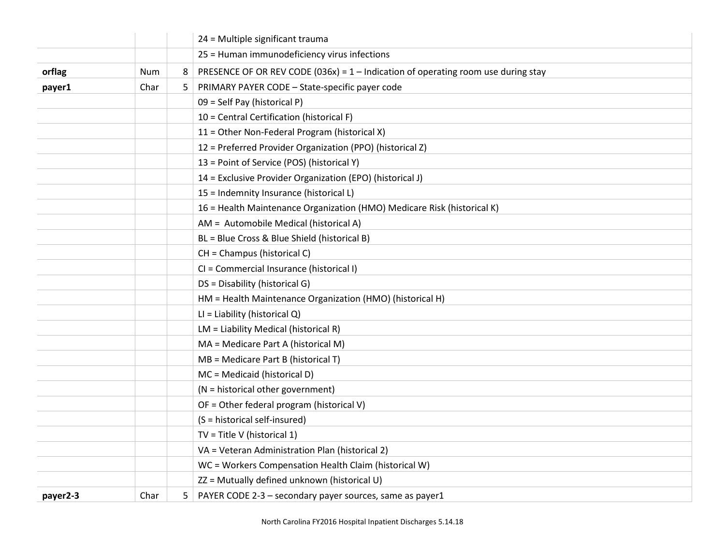|          |      |   | 24 = Multiple significant trauma                                                    |
|----------|------|---|-------------------------------------------------------------------------------------|
|          |      |   | 25 = Human immunodeficiency virus infections                                        |
| orflag   | Num  | 8 | PRESENCE OF OR REV CODE (036x) = $1$ – Indication of operating room use during stay |
| payer1   | Char | 5 | PRIMARY PAYER CODE - State-specific payer code                                      |
|          |      |   | 09 = Self Pay (historical P)                                                        |
|          |      |   | 10 = Central Certification (historical F)                                           |
|          |      |   | 11 = Other Non-Federal Program (historical X)                                       |
|          |      |   | 12 = Preferred Provider Organization (PPO) (historical Z)                           |
|          |      |   | 13 = Point of Service (POS) (historical Y)                                          |
|          |      |   | 14 = Exclusive Provider Organization (EPO) (historical J)                           |
|          |      |   | 15 = Indemnity Insurance (historical L)                                             |
|          |      |   | 16 = Health Maintenance Organization (HMO) Medicare Risk (historical K)             |
|          |      |   | AM = Automobile Medical (historical A)                                              |
|          |      |   | BL = Blue Cross & Blue Shield (historical B)                                        |
|          |      |   | CH = Champus (historical C)                                                         |
|          |      |   | CI = Commercial Insurance (historical I)                                            |
|          |      |   | DS = Disability (historical G)                                                      |
|          |      |   | HM = Health Maintenance Organization (HMO) (historical H)                           |
|          |      |   | $LI = Liability (historical Q)$                                                     |
|          |      |   | LM = Liability Medical (historical R)                                               |
|          |      |   | MA = Medicare Part A (historical M)                                                 |
|          |      |   | $MB =$ Medicare Part B (historical T)                                               |
|          |      |   | MC = Medicaid (historical D)                                                        |
|          |      |   | (N = historical other government)                                                   |
|          |      |   | OF = Other federal program (historical V)                                           |
|          |      |   | (S = historical self-insured)                                                       |
|          |      |   | $TV = Title V (historical 1)$                                                       |
|          |      |   | VA = Veteran Administration Plan (historical 2)                                     |
|          |      |   | WC = Workers Compensation Health Claim (historical W)                               |
|          |      |   | ZZ = Mutually defined unknown (historical U)                                        |
| payer2-3 | Char | 5 | PAYER CODE 2-3 - secondary payer sources, same as payer1                            |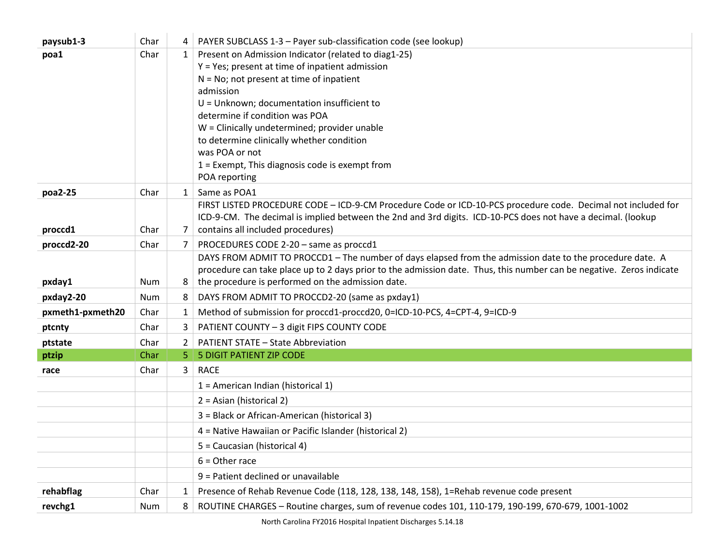| paysub1-3        | Char         | 4                    | PAYER SUBCLASS 1-3 - Payer sub-classification code (see lookup)                                                                                                           |
|------------------|--------------|----------------------|---------------------------------------------------------------------------------------------------------------------------------------------------------------------------|
| poa1             | Char         |                      | 1   Present on Admission Indicator (related to diag1-25)                                                                                                                  |
|                  |              |                      | Y = Yes; present at time of inpatient admission                                                                                                                           |
|                  |              |                      | $N = No$ ; not present at time of inpatient                                                                                                                               |
|                  |              |                      | admission                                                                                                                                                                 |
|                  |              |                      | $U =$ Unknown; documentation insufficient to                                                                                                                              |
|                  |              |                      | determine if condition was POA                                                                                                                                            |
|                  |              |                      | W = Clinically undetermined; provider unable<br>to determine clinically whether condition                                                                                 |
|                  |              |                      | was POA or not                                                                                                                                                            |
|                  |              |                      | 1 = Exempt, This diagnosis code is exempt from                                                                                                                            |
|                  |              |                      | POA reporting                                                                                                                                                             |
| poa2-25          | Char         | $\mathbf{1}$         | Same as POA1                                                                                                                                                              |
|                  |              |                      | FIRST LISTED PROCEDURE CODE - ICD-9-CM Procedure Code or ICD-10-PCS procedure code. Decimal not included for                                                              |
|                  |              |                      | ICD-9-CM. The decimal is implied between the 2nd and 3rd digits. ICD-10-PCS does not have a decimal. (lookup                                                              |
| proccd1          | Char         | 7                    | contains all included procedures)                                                                                                                                         |
| proccd2-20       | Char         | 7                    | PROCEDURES CODE 2-20 - same as proccd1                                                                                                                                    |
|                  |              |                      | DAYS FROM ADMIT TO PROCCD1 - The number of days elapsed from the admission date to the procedure date. A                                                                  |
| pxday1           | <b>Num</b>   | 8                    | procedure can take place up to 2 days prior to the admission date. Thus, this number can be negative. Zeros indicate<br>the procedure is performed on the admission date. |
|                  |              |                      |                                                                                                                                                                           |
| pxday2-20        | Num          | 8                    | DAYS FROM ADMIT TO PROCCD2-20 (same as pxday1)<br>Method of submission for proccd1-proccd20, 0=ICD-10-PCS, 4=CPT-4, 9=ICD-9                                               |
| pxmeth1-pxmeth20 | Char<br>Char | 1<br>3               | PATIENT COUNTY - 3 digit FIPS COUNTY CODE                                                                                                                                 |
| ptcnty           |              |                      |                                                                                                                                                                           |
| ptstate<br>ptzip | Char<br>Char | $\overline{2}$<br>5. | <b>PATIENT STATE - State Abbreviation</b><br>5 DIGIT PATIENT ZIP CODE                                                                                                     |
|                  |              |                      |                                                                                                                                                                           |
| race             | Char         | 3                    | <b>RACE</b>                                                                                                                                                               |
|                  |              |                      | $1$ = American Indian (historical 1)                                                                                                                                      |
|                  |              |                      | 2 = Asian (historical 2)                                                                                                                                                  |
|                  |              |                      | 3 = Black or African-American (historical 3)                                                                                                                              |
|                  |              |                      | 4 = Native Hawaiian or Pacific Islander (historical 2)                                                                                                                    |
|                  |              |                      | 5 = Caucasian (historical 4)                                                                                                                                              |
|                  |              |                      | $6 =$ Other race                                                                                                                                                          |
|                  |              |                      | 9 = Patient declined or unavailable                                                                                                                                       |
| rehabflag        | Char         | 1                    | Presence of Rehab Revenue Code (118, 128, 138, 148, 158), 1=Rehab revenue code present                                                                                    |
| revchg1          | Num          | 8                    | ROUTINE CHARGES - Routine charges, sum of revenue codes 101, 110-179, 190-199, 670-679, 1001-1002                                                                         |

Ÿ.

North Carolina FY2016 Hospital Inpatient Discharges 5.14.18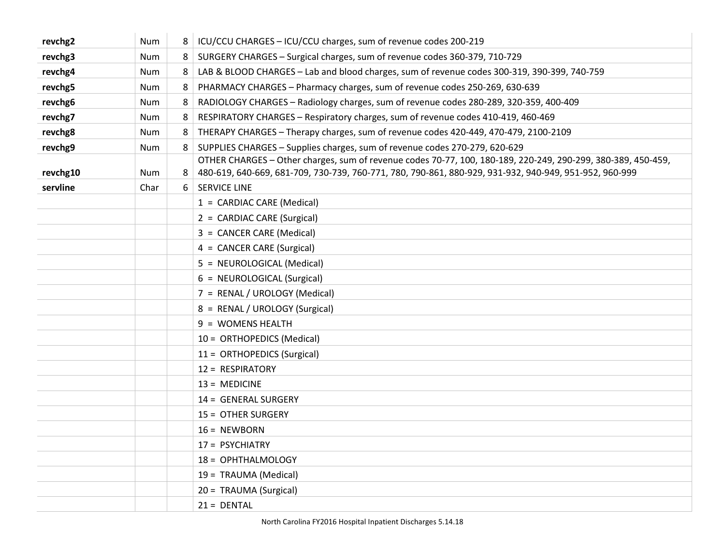| revchg2  | <b>Num</b> | 8 <sup>1</sup> | ICU/CCU CHARGES - ICU/CCU charges, sum of revenue codes 200-219                                                                                                                                                        |
|----------|------------|----------------|------------------------------------------------------------------------------------------------------------------------------------------------------------------------------------------------------------------------|
| revchg3  | Num        | 8              | SURGERY CHARGES - Surgical charges, sum of revenue codes 360-379, 710-729                                                                                                                                              |
| revchg4  | Num        | 8              | LAB & BLOOD CHARGES - Lab and blood charges, sum of revenue codes 300-319, 390-399, 740-759                                                                                                                            |
| revchg5  | <b>Num</b> | 8              | PHARMACY CHARGES - Pharmacy charges, sum of revenue codes 250-269, 630-639                                                                                                                                             |
| revchg6  | Num        | 8              | RADIOLOGY CHARGES - Radiology charges, sum of revenue codes 280-289, 320-359, 400-409                                                                                                                                  |
| revchg7  | <b>Num</b> | 8              | RESPIRATORY CHARGES - Respiratory charges, sum of revenue codes 410-419, 460-469                                                                                                                                       |
| revchg8  | <b>Num</b> | 8              | THERAPY CHARGES - Therapy charges, sum of revenue codes 420-449, 470-479, 2100-2109                                                                                                                                    |
| revchg9  | Num        | 8              | SUPPLIES CHARGES - Supplies charges, sum of revenue codes 270-279, 620-629                                                                                                                                             |
| revchg10 | Num        | 8              | OTHER CHARGES - Other charges, sum of revenue codes 70-77, 100, 180-189, 220-249, 290-299, 380-389, 450-459,<br>480-619, 640-669, 681-709, 730-739, 760-771, 780, 790-861, 880-929, 931-932, 940-949, 951-952, 960-999 |
| servline | Char       | 6              | <b>SERVICE LINE</b>                                                                                                                                                                                                    |
|          |            |                | 1 = CARDIAC CARE (Medical)                                                                                                                                                                                             |
|          |            |                | 2 = CARDIAC CARE (Surgical)                                                                                                                                                                                            |
|          |            |                | 3 = CANCER CARE (Medical)                                                                                                                                                                                              |
|          |            |                | 4 = CANCER CARE (Surgical)                                                                                                                                                                                             |
|          |            |                | 5 = NEUROLOGICAL (Medical)                                                                                                                                                                                             |
|          |            |                | 6 = NEUROLOGICAL (Surgical)                                                                                                                                                                                            |
|          |            |                | 7 = RENAL / UROLOGY (Medical)                                                                                                                                                                                          |
|          |            |                | 8 = RENAL / UROLOGY (Surgical)                                                                                                                                                                                         |
|          |            |                | 9 = WOMENS HEALTH                                                                                                                                                                                                      |
|          |            |                | 10 = ORTHOPEDICS (Medical)                                                                                                                                                                                             |
|          |            |                | 11 = ORTHOPEDICS (Surgical)                                                                                                                                                                                            |
|          |            |                | 12 = RESPIRATORY                                                                                                                                                                                                       |
|          |            |                | $13 = MEDICINE$                                                                                                                                                                                                        |
|          |            |                | 14 = GENERAL SURGERY                                                                                                                                                                                                   |
|          |            |                | 15 = OTHER SURGERY                                                                                                                                                                                                     |
|          |            |                | $16 = NEWBORN$                                                                                                                                                                                                         |
|          |            |                | 17 = PSYCHIATRY                                                                                                                                                                                                        |
|          |            |                | 18 = OPHTHALMOLOGY                                                                                                                                                                                                     |
|          |            |                | 19 = TRAUMA (Medical)                                                                                                                                                                                                  |
|          |            |                | 20 = TRAUMA (Surgical)                                                                                                                                                                                                 |
|          |            |                | $21 = DENTAL$                                                                                                                                                                                                          |